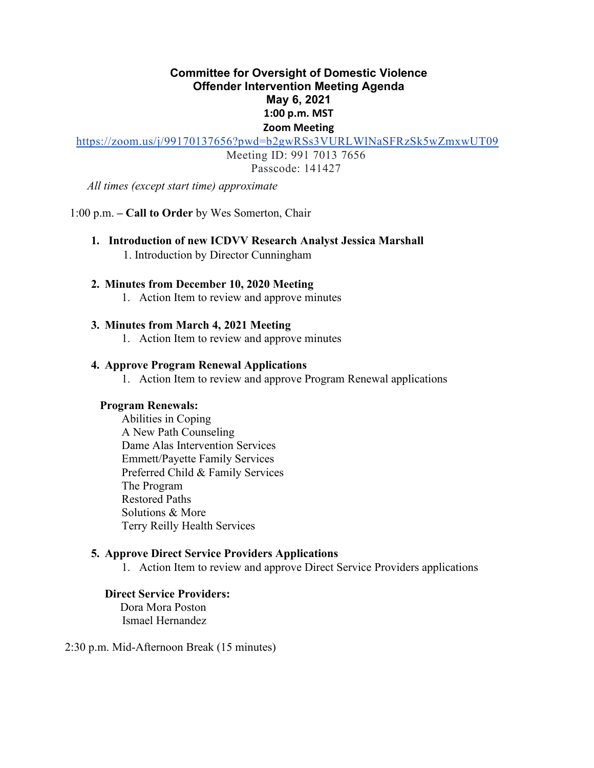# **Committee for Oversight of Domestic Violence Offender Intervention Meeting Agenda May 6, 2021 1:00 p.m. MST Zoom Meeting**

<https://zoom.us/j/99170137656?pwd=b2gwRSs3VURLWlNaSFRzSk5wZmxwUT09>

Meeting ID: 991 7013 7656

Passcode: 141427

*All times (except start time) approximate* 

1:00 p.m. **– Call to Order** by Wes Somerton, Chair

**1. Introduction of new ICDVV Research Analyst Jessica Marshall**  1. Introduction by Director Cunningham

## **2. Minutes from December 10, 2020 Meeting**

1. Action Item to review and approve minutes

### **3. Minutes from March 4, 2021 Meeting**

1. Action Item to review and approve minutes

### **4. Approve Program Renewal Applications**

1. Action Item to review and approve Program Renewal applications

### **Program Renewals:**

Abilities in Coping A New Path Counseling Dame Alas Intervention Services Emmett/Payette Family Services Preferred Child & Family Services The Program Restored Paths Solutions & More Terry Reilly Health Services

### **5. Approve Direct Service Providers Applications**

1. Action Item to review and approve Direct Service Providers applications

## **Direct Service Providers:**

Dora Mora Poston Ismael Hernandez

2:30 p.m. Mid-Afternoon Break (15 minutes)